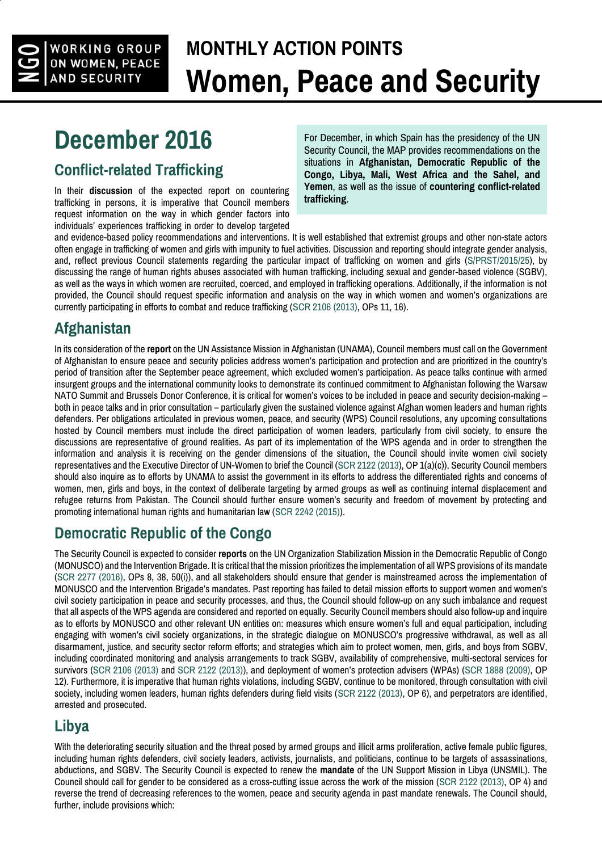

# **MONTHLY ACTION POINTS Women, Peace and Security**

## **December 2016**

#### **Conflict-related Trafficking**

In their **discussion** of the expected report on countering trafficking in persons, it is imperative that Council members request information on the way in which gender factors into individuals' experiences trafficking in order to develop targeted For December, in which Spain has the presidency of the UN Security Council, the MAP provides recommendations on the situations in **Afghanistan, Democratic Republic of the Congo, Libya, Mali, West Africa and the Sahel, and Yemen**, as well as the issue of **countering conflict-related trafficking**.

and evidence-based policy recommendations and interventions. It is well established that extremist groups and other non-state actors often engage in trafficking of women and girls with impunity to fuel activities. Discussion and reporting should integrate gender analysis, and, reflect previous Council statements regarding the particular impact of trafficking on women and girls [\(S/PRST/2015/25\)](http://undocs.org/S/PRST/2015/25), by discussing the range of human rights abuses associated with human trafficking, including sexual and gender-based violence (SGBV), as well as the ways in which women are recruited, coerced, and employed in trafficking operations. Additionally, if the information is not provided, the Council should request specific information and analysis on the way in which women and women's organizations are currently participating in efforts to combat and reduce trafficking [\(SCR 2106 \(2013\),](http://undocs.org/S/RES/2106(2013)) OPs 11, 16).

## **Afghanistan**

In its consideration of the **report** on the UN Assistance Mission in Afghanistan (UNAMA), Council members must call on the Government of Afghanistan to ensure peace and security policies address women's participation and protection and are prioritized in the country's period of transition after the September peace agreement, which excluded women's participation. As peace talks continue with armed insurgent groups and the international community looks to demonstrate its continued commitment to Afghanistan following the Warsaw NATO Summit and Brussels Donor Conference, it is critical for women's voices to be included in peace and security decision-making – both in peace talks and in prior consultation – particularly given the sustained violence against Afghan women leaders and human rights defenders. Per obligations articulated in previous women, peace, and security (WPS) Council resolutions, any upcoming consultations hosted by Council members must include the direct participation of women leaders, particularly from civil society, to ensure the discussions are representative of ground realities. As part of its implementation of the WPS agenda and in order to strengthen the information and analysis it is receiving on the gender dimensions of the situation, the Council should invite women civil society representatives and the Executive Director of UN-Women to brief the Council [\(SCR 2122 \(2013\)](http://undocs.org/S/RES/2122(2013), OP 1(a)(c)). Security Council members should also inquire as to efforts by UNAMA to assist the government in its efforts to address the differentiated rights and concerns of women, men, girls and boys, in the context of deliberate targeting by armed groups as well as continuing internal displacement and refugee returns from Pakistan. The Council should further ensure women's security and freedom of movement by protecting and promoting international human rights and humanitarian law [\(SCR 2242 \(2015\)\)](http://undocs.org/S/RES/2242(2015)).

### **Democratic Republic of the Congo**

The Security Council is expected to consider **reports** on the UN Organization Stabilization Mission in the Democratic Republic of Congo (MONUSCO) and the Intervention Brigade. It is critical that the mission prioritizes the implementation of all WPS provisions of its mandate [\(SCR 2277 \(2016\),](http://undocs.org/S/RES/2277(2016)) OPs 8, 38, 50(i)), and all stakeholders should ensure that gender is mainstreamed across the implementation of MONUSCO and the Intervention Brigade's mandates. Past reporting has failed to detail mission efforts to support women and women's civil society participation in peace and security processes, and thus, the Council should follow-up on any such imbalance and request that all aspects of the WPS agenda are considered and reported on equally. Security Council members should also follow-up and inquire as to efforts by MONUSCO and other relevant UN entities on: measures which ensure women's full and equal participation, including engaging with women's civil society organizations, in the strategic dialogue on MONUSCO's progressive withdrawal, as well as all disarmament, justice, and security sector reform efforts; and strategies which aim to protect women, men, girls, and boys from SGBV, including coordinated monitoring and analysis arrangements to track SGBV, availability of comprehensive, multi-sectoral services for survivors [\(SCR 2106 \(2013\)](http://undocs.org/S/RES/2106(2013)) and [SCR 2122 \(2013\)\)](http://undocs.org/S/RES/2122(2013)), and deployment of women's protection advisers (WPAs) [\(SCR 1888 \(2009\),](http://undocs.org/S/RES/1888(2009)) OP 12). Furthermore, it is imperative that human rights violations, including SGBV, continue to be monitored, through consultation with civil society, including women leaders, human rights defenders during field visits [\(SCR 2122 \(2013\),](http://undocs.org/S/RES/2122(2013) OP 6), and perpetrators are identified. arrested and prosecuted.

### **Libya**

With the deteriorating security situation and the threat posed by armed groups and illicit arms proliferation, active female public figures, including human rights defenders, civil society leaders, activists, journalists, and politicians, continue to be targets of assassinations, abductions, and SGBV. The Security Council is expected to renew the **mandate** of the UN Support Mission in Libya (UNSMIL). The Council should call for gender to be considered as a cross-cutting issue across the work of the mission [\(SCR 2122 \(2013\),](http://undocs.org/S/RES/2122(2013) OP 4) and reverse the trend of decreasing references to the women, peace and security agenda in past mandate renewals. The Council should, further, include provisions which: